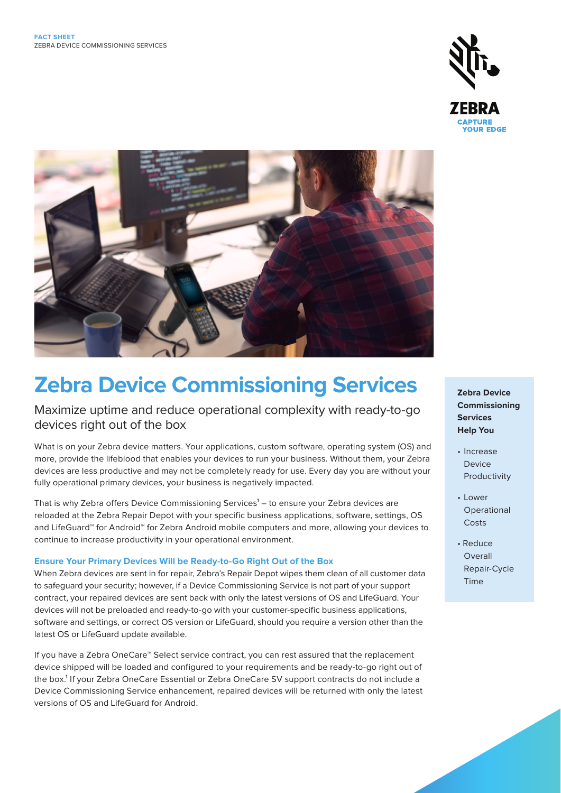



# **Zebra Device Commissioning Services**

Maximize uptime and reduce operational complexity with ready-to-go devices right out of the box

What is on your Zebra device matters. Your applications, custom software, operating system (OS) and more, provide the lifeblood that enables your devices to run your business. Without them, your Zebra devices are less productive and may not be completely ready for use. Every day you are without your fully operational primary devices, your business is negatively impacted.

That is why Zebra offers Device Commissioning Services<sup>1</sup> – to ensure your Zebra devices are reloaded at the Zebra Repair Depot with your specific business applications, software, settings, OS and LifeGuard™ for Android™ for Zebra Android mobile computers and more, allowing your devices to continue to increase productivity in your operational environment.

### **Ensure Your Primary Devices Will be Ready-to-Go Right Out of the Box**

When Zebra devices are sent in for repair, Zebra's Repair Depot wipes them clean of all customer data to safeguard your security; however, if a Device Commissioning Service is not part of your support contract, your repaired devices are sent back with only the latest versions of OS and LifeGuard. Your devices will not be preloaded and ready-to-go with your customer-specific business applications, software and settings, or correct OS version or LifeGuard, should you require a version other than the latest OS or LifeGuard update available.

If you have a Zebra OneCare™ Select service contract, you can rest assured that the replacement device shipped will be loaded and configured to your requirements and be ready-to-go right out of the box.<sup>1</sup> If your Zebra OneCare Essential or Zebra OneCare SV support contracts do not include a Device Commissioning Service enhancement, repaired devices will be returned with only the latest versions of OS and LifeGuard for Android.

**Zebra Device Commissioning Services Help You**

- Increase Device Productivity
- Lower Operational Costs
- Reduce Overall Repair-Cycle Time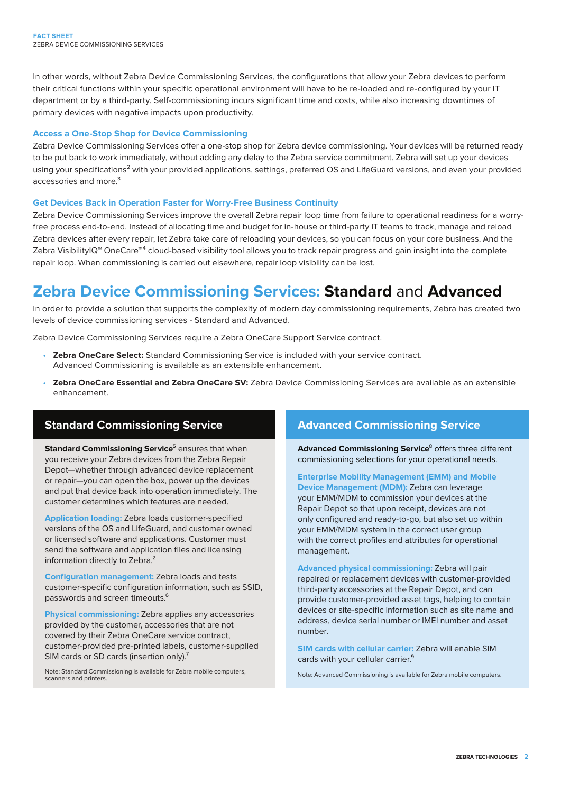In other words, without Zebra Device Commissioning Services, the configurations that allow your Zebra devices to perform their critical functions within your specific operational environment will have to be re-loaded and re-configured by your IT department or by a third-party. Self-commissioning incurs significant time and costs, while also increasing downtimes of primary devices with negative impacts upon productivity.

#### **Access a One-Stop Shop for Device Commissioning**

Zebra Device Commissioning Services offer a one-stop shop for Zebra device commissioning. Your devices will be returned ready to be put back to work immediately, without adding any delay to the Zebra service commitment. Zebra will set up your devices using your specifications<sup>2</sup> with your provided applications, settings, preferred OS and LifeGuard versions, and even your provided accessories and more.<sup>3</sup>

### **Get Devices Back in Operation Faster for Worry-Free Business Continuity**

Zebra Device Commissioning Services improve the overall Zebra repair loop time from failure to operational readiness for a worryfree process end-to-end. Instead of allocating time and budget for in-house or third-party IT teams to track, manage and reload Zebra devices after every repair, let Zebra take care of reloading your devices, so you can focus on your core business. And the Zebra VisibilityIQ<sup>™</sup> OneCare<sup>™4</sup> cloud-based visibility tool allows you to track repair progress and gain insight into the complete repair loop. When commissioning is carried out elsewhere, repair loop visibility can be lost.

# **Zebra Device Commissioning Services: Standard** and **Advanced**

In order to provide a solution that supports the complexity of modern day commissioning requirements, Zebra has created two levels of device commissioning services - Standard and Advanced.

Zebra Device Commissioning Services require a Zebra OneCare Support Service contract.

- **Zebra OneCare Select:** Standard Commissioning Service is included with your service contract. Advanced Commissioning is available as an extensible enhancement.
- **Zebra OneCare Essential and Zebra OneCare SV:** Zebra Device Commissioning Services are available as an extensible enhancement.

## **Standard Commissioning Service**

**Standard Commissioning Service**<sup>5</sup> ensures that when you receive your Zebra devices from the Zebra Repair Depot—whether through advanced device replacement or repair—you can open the box, power up the devices and put that device back into operation immediately. The customer determines which features are needed.

**Application loading:** Zebra loads customer-specified versions of the OS and LifeGuard, and customer owned or licensed software and applications. Customer must send the software and application files and licensing information directly to Zebra.<sup>2</sup>

**Configuration management:** Zebra loads and tests customer-specific configuration information, such as SSID, passwords and screen timeouts.<sup>6</sup>

**Physical commissioning:** Zebra applies any accessories provided by the customer, accessories that are not covered by their Zebra OneCare service contract, customer-provided pre-printed labels, customer-supplied SIM cards or SD cards (insertion only).<sup>7</sup>

Note: Standard Commissioning is available for Zebra mobile computers,

# **Advanced Commissioning Service**

**Advanced Commissioning Service**<sup>8</sup> offers three different commissioning selections for your operational needs.

**Enterprise Mobility Management (EMM) and Mobile Device Management (MDM):** Zebra can leverage your EMM/MDM to commission your devices at the Repair Depot so that upon receipt, devices are not only configured and ready-to-go, but also set up within your EMM/MDM system in the correct user group with the correct profiles and attributes for operational management.

**Advanced physical commissioning:** Zebra will pair repaired or replacement devices with customer-provided third-party accessories at the Repair Depot, and can provide customer-provided asset tags, helping to contain devices or site-specific information such as site name and address, device serial number or IMEI number and asset number.

**SIM cards with cellular carrier:** Zebra will enable SIM cards with your cellular carrier.<sup>9</sup>

Note: Advanced Commissioning is available for Zebra mobile computers.